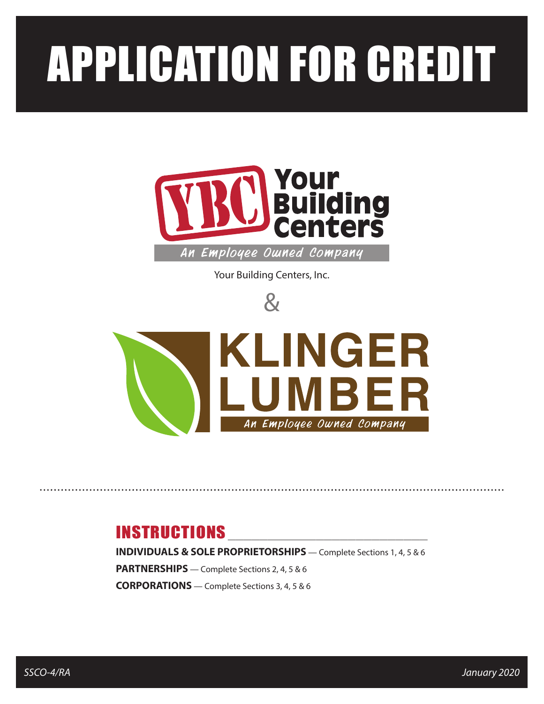# APPLICATION FOR CREDIT



An Employee Owned Company

Your Building Centers, Inc.





## **INSTRUCTIONS**

**INDIVIDUALS & SOLE PROPRIETORSHIPS** — Complete Sections 1, 4, 5 & 6 **PARTNERSHIPS** — Complete Sections 2, 4, 5 & 6 **CORPORATIONS** — Complete Sections 3, 4, 5 & 6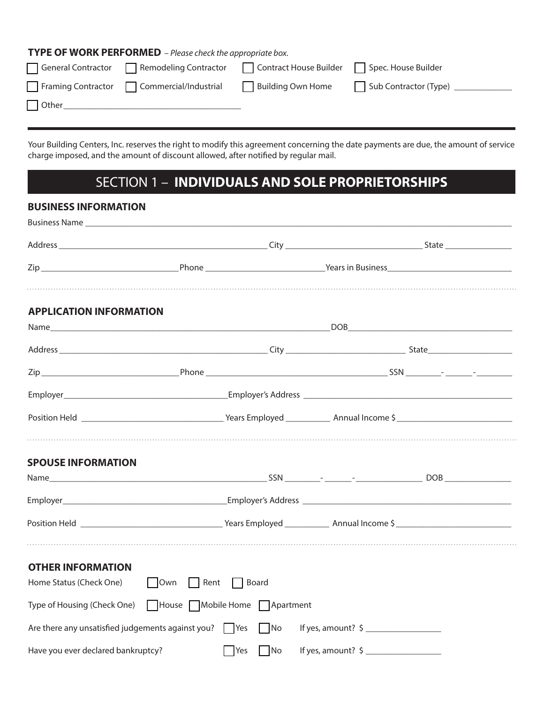#### **TYPE OF WORK PERFORMED** *– Please check the appropriate box.*

| General Contractor | Remodeling Contractor | Contract House Builder | Spec. House Builder   |
|--------------------|-----------------------|------------------------|-----------------------|
| Framing Contractor | Commercial/Industrial | Building Own Home      | Sub Contractor (Type) |
| $\Box$ Other       |                       |                        |                       |
|                    |                       |                        |                       |

Your Building Centers, Inc. reserves the right to modify this agreement concerning the date payments are due, the amount of service charge imposed, and the amount of discount allowed, after notified by regular mail.

## SECTION 1 – **INDIVIDUALS AND SOLE PROPRIETORSHIPS**

#### **BUSINESS INFORMATION**

| <b>APPLICATION INFORMATION</b>                                         |            |            |                               |  |
|------------------------------------------------------------------------|------------|------------|-------------------------------|--|
|                                                                        |            |            |                               |  |
|                                                                        |            |            |                               |  |
|                                                                        |            |            |                               |  |
|                                                                        |            |            |                               |  |
|                                                                        |            |            |                               |  |
| <b>SPOUSE INFORMATION</b>                                              |            |            |                               |  |
|                                                                        |            |            |                               |  |
|                                                                        |            |            |                               |  |
|                                                                        |            |            |                               |  |
| <b>OTHER INFORMATION</b>                                               |            |            |                               |  |
| Home Status (Check One) Dwn Rent Board                                 |            |            |                               |  |
| Type of Housing (Check One)   House   Mobile Home   Apartment          |            |            |                               |  |
| Are there any unsatisfied judgements against you? $\Box$ Yes $\Box$ No |            |            | If yes, amount? $\frac{1}{2}$ |  |
| Have you ever declared bankruptcy?                                     | <b>Yes</b> | $\n  No\n$ | If yes, amount? $\frac{1}{2}$ |  |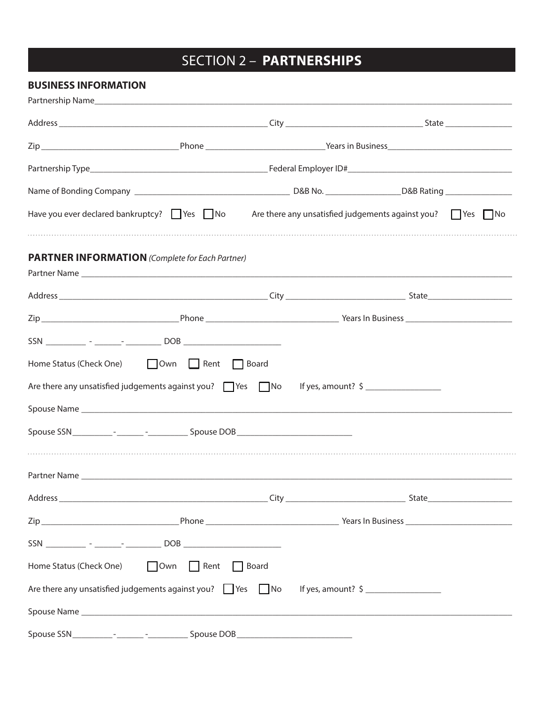## SECTION 2 – **PARTNERSHIPS**

### **BUSINESS INFORMATION**

| Have you ever declared bankruptcy? $\Box$ Yes $\Box$ No Are there any unsatisfied judgements against you? $\Box$ Yes $\Box$ No |  |  |  |
|--------------------------------------------------------------------------------------------------------------------------------|--|--|--|
| <b>PARTNER INFORMATION</b> (Complete for Each Partner)                                                                         |  |  |  |
|                                                                                                                                |  |  |  |
|                                                                                                                                |  |  |  |
|                                                                                                                                |  |  |  |
| Home Status (Check One) Down Rent D Board                                                                                      |  |  |  |
| Are there any unsatisfied judgements against you? Nes now use of yes, amount? \$                                               |  |  |  |
|                                                                                                                                |  |  |  |
|                                                                                                                                |  |  |  |
|                                                                                                                                |  |  |  |
|                                                                                                                                |  |  |  |
|                                                                                                                                |  |  |  |
|                                                                                                                                |  |  |  |
|                                                                                                                                |  |  |  |
| Home Status (Check One) □ Own □ Rent □ Board                                                                                   |  |  |  |
| Are there any unsatisfied judgements against you? $\Box$ Yes $\Box$ No If yes, amount? $\Diamond$                              |  |  |  |
|                                                                                                                                |  |  |  |
|                                                                                                                                |  |  |  |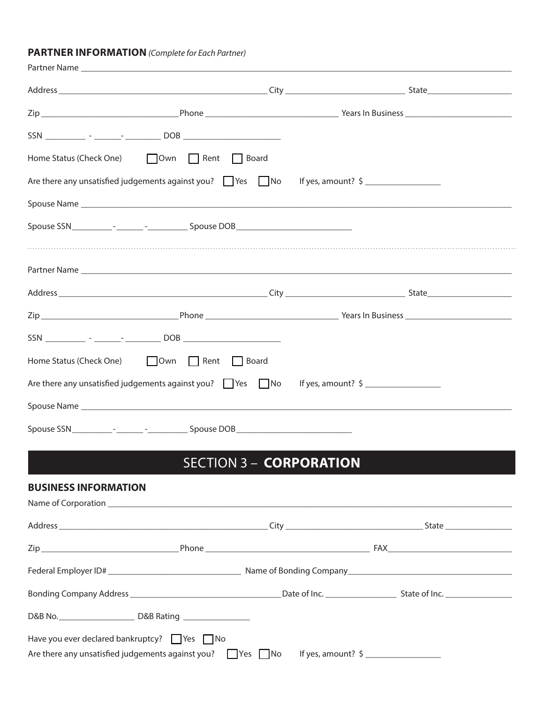#### **PARTNER INFORMATION** *(Complete for Each Partner)*

| Home Status (Check One) Down D Rent D Board                                                       |  |  |
|---------------------------------------------------------------------------------------------------|--|--|
| Are there any unsatisfied judgements against you? $\Box$ Yes $\Box$ No If yes, amount? $\zeta$    |  |  |
|                                                                                                   |  |  |
|                                                                                                   |  |  |
|                                                                                                   |  |  |
|                                                                                                   |  |  |
|                                                                                                   |  |  |
|                                                                                                   |  |  |
|                                                                                                   |  |  |
| Home Status (Check One) Down Rent Board                                                           |  |  |
| Are there any unsatisfied judgements against you? $\Box$ Yes $\Box$ No If yes, amount? $\Diamond$ |  |  |
|                                                                                                   |  |  |
|                                                                                                   |  |  |
|                                                                                                   |  |  |

## SECTION 3 – **CORPORATION**

| <b>BUSINESS INFORMATION</b>                                                                                                       |                               |  |
|-----------------------------------------------------------------------------------------------------------------------------------|-------------------------------|--|
|                                                                                                                                   |                               |  |
|                                                                                                                                   |                               |  |
|                                                                                                                                   |                               |  |
|                                                                                                                                   |                               |  |
|                                                                                                                                   |                               |  |
|                                                                                                                                   |                               |  |
| Have you ever declared bankruptcy? $\Box$ Yes $\Box$ No<br>Are there any unsatisfied judgements against you? $\Box$ Yes $\Box$ No | If yes, amount? $\frac{1}{2}$ |  |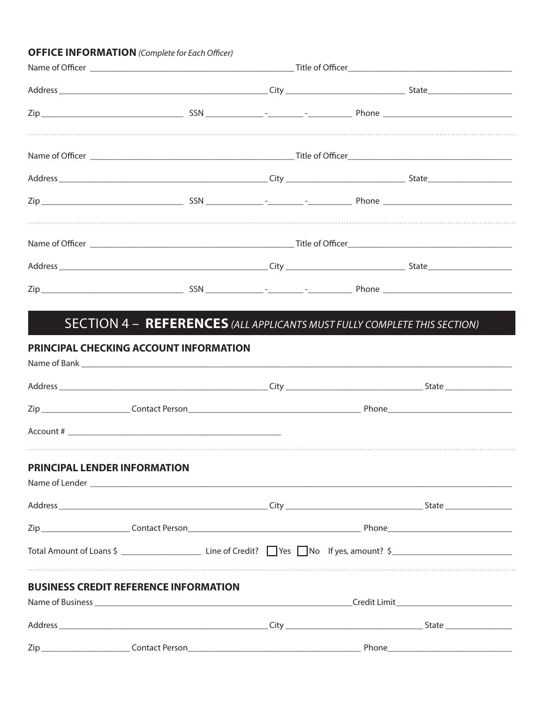#### **OFFICE INFORMATION** (Complete for Each Officer)

## SECTION 4 - REFERENCES (ALL APPLICANTS MUST FULLY COMPLETE THIS SECTION)

### PRINCIPAL CHECKING ACCOUNT INFORMATION

| PRINCIPAL LENDER INFORMATION |                                              |  |  |
|------------------------------|----------------------------------------------|--|--|
|                              |                                              |  |  |
|                              |                                              |  |  |
|                              |                                              |  |  |
|                              |                                              |  |  |
|                              | <b>BUSINESS CREDIT REFERENCE INFORMATION</b> |  |  |
|                              |                                              |  |  |
|                              |                                              |  |  |
|                              |                                              |  |  |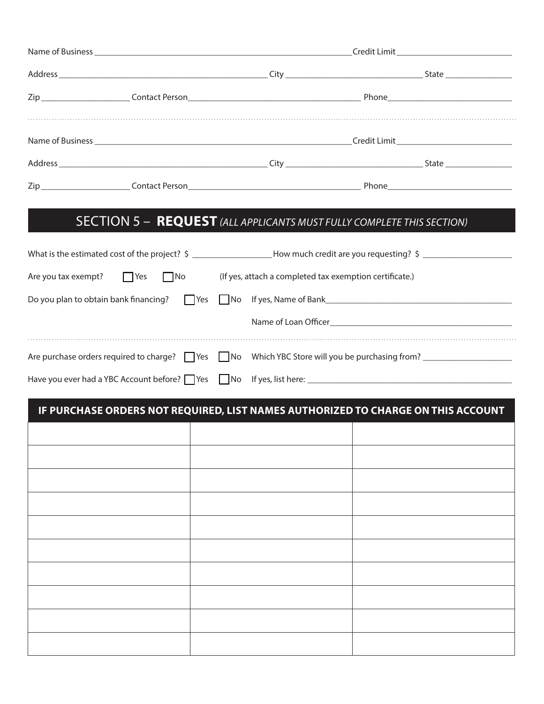|  |  |  | Credit Limit |  |
|--|--|--|--------------|--|
|  |  |  |              |  |
|  |  |  |              |  |

## SECTION 5 – **REQUEST** *(ALL APPLICANTS MUST FULLY COMPLETE THIS SECTION)*

| Are you tax exempt? $\Box$ Yes $\Box$ No | (If yes, attach a completed tax exemption certificate.)                                                                                                                                                                        |
|------------------------------------------|--------------------------------------------------------------------------------------------------------------------------------------------------------------------------------------------------------------------------------|
|                                          |                                                                                                                                                                                                                                |
|                                          | Name of Loan Officer Name of Loan Officer                                                                                                                                                                                      |
|                                          | Are purchase orders required to charge? The The Mo Which YBC Store will you be purchasing from?                                                                                                                                |
|                                          | Have you ever had a YBC Account before? Thes Table of the Ski here: The Ski here: The Ski here is the Ski here in the Ski here is the Ski here in the Ski here is the Ski here in the Ski here is the Ski here is the Ski here |

## **IF PURCHASE ORDERS NOT REQUIRED, LIST NAMES AUTHORIZED TO CHARGE ON THIS ACCOUNT**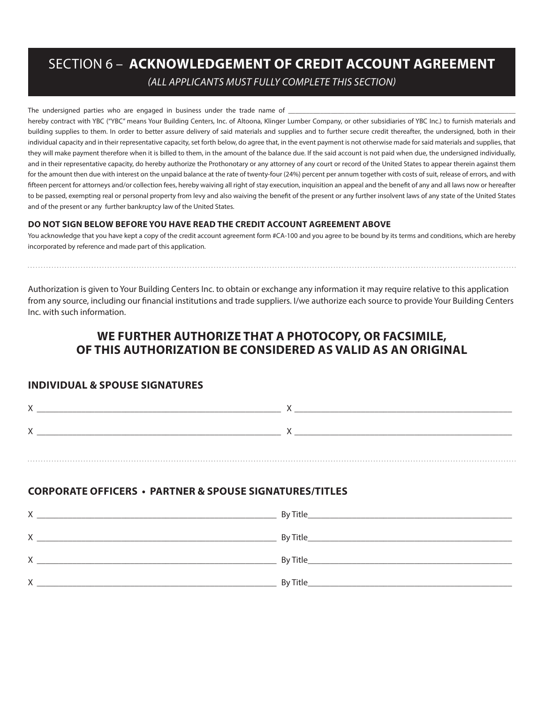## SECTION 6 – **ACKNOWLEDGEMENT OF CREDIT ACCOUNT AGREEMENT**

*(ALL APPLICANTS MUST FULLY COMPLETE THIS SECTION)*

The undersigned parties who are engaged in business under the trade name of

hereby contract with YBC ("YBC" means Your Building Centers, Inc. of Altoona, Klinger Lumber Company, or other subsidiaries of YBC Inc.) to furnish materials and building supplies to them. In order to better assure delivery of said materials and supplies and to further secure credit thereafter, the undersigned, both in their individual capacity and in their representative capacity, set forth below, do agree that, in the event payment is not otherwise made for said materials and supplies, that they will make payment therefore when it is billed to them, in the amount of the balance due. If the said account is not paid when due, the undersigned individually, and in their representative capacity, do hereby authorize the Prothonotary or any attorney of any court or record of the United States to appear therein against them for the amount then due with interest on the unpaid balance at the rate of twenty-four (24%) percent per annum together with costs of suit, release of errors, and with fifteen percent for attorneys and/or collection fees, hereby waiving all right of stay execution, inquisition an appeal and the benefit of any and all laws now or hereafter to be passed, exempting real or personal property from levy and also waiving the benefit of the present or any further insolvent laws of any state of the United States and of the present or any further bankruptcy law of the United States.

#### **DO NOT SIGN BELOW BEFORE YOU HAVE READ THE CREDIT ACCOUNT AGREEMENT ABOVE**

You acknowledge that you have kept a copy of the credit account agreement form #CA-100 and you agree to be bound by its terms and conditions, which are hereby incorporated by reference and made part of this application.

Authorization is given to Your Building Centers Inc. to obtain or exchange any information it may require relative to this application from any source, including our financial institutions and trade suppliers. I/we authorize each source to provide Your Building Centers Inc. with such information.

## **WE FURTHER AUTHORIZE THAT A PHOTOCOPY, OR FACSIMILE, OF THIS AUTHORIZATION BE CONSIDERED AS VALID AS AN ORIGINAL**

#### **INDIVIDUAL & SPOUSE SIGNATURES**

#### **CORPORATE OFFICERS • PARTNER & SPOUSE SIGNATURES/TITLES**

| Χ | By Title  |
|---|-----------|
| X | By Title_ |
| X | By Title  |
| Χ | By Title  |